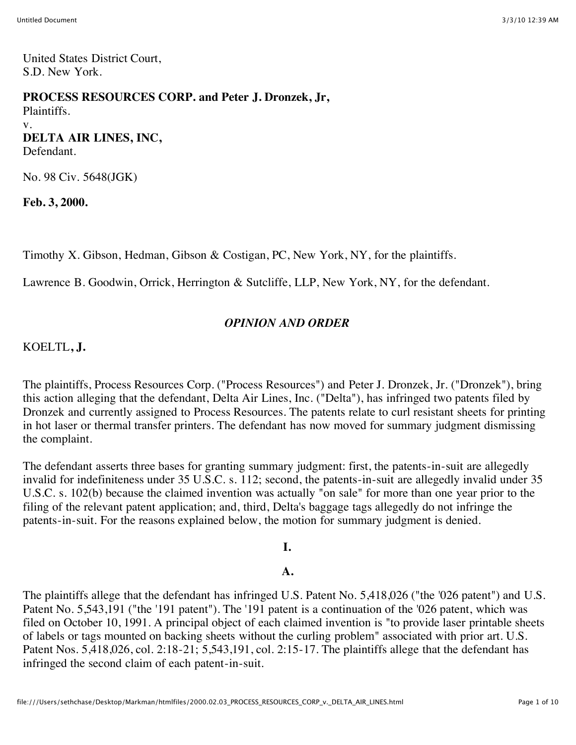United States District Court, S.D. New York.

### **PROCESS RESOURCES CORP. and Peter J. Dronzek, Jr,**

Plaintiffs. v. **DELTA AIR LINES, INC,** Defendant.

No. 98 Civ. 5648(JGK)

**Feb. 3, 2000.**

Timothy X. Gibson, Hedman, Gibson & Costigan, PC, New York, NY, for the plaintiffs.

Lawrence B. Goodwin, Orrick, Herrington & Sutcliffe, LLP, New York, NY, for the defendant.

## *OPINION AND ORDER*

## KOELTL**, J.**

The plaintiffs, Process Resources Corp. ("Process Resources") and Peter J. Dronzek, Jr. ("Dronzek"), bring this action alleging that the defendant, Delta Air Lines, Inc. ("Delta"), has infringed two patents filed by Dronzek and currently assigned to Process Resources. The patents relate to curl resistant sheets for printing in hot laser or thermal transfer printers. The defendant has now moved for summary judgment dismissing the complaint.

The defendant asserts three bases for granting summary judgment: first, the patents-in-suit are allegedly invalid for indefiniteness under 35 U.S.C. s. 112; second, the patents-in-suit are allegedly invalid under 35 U.S.C. s. 102(b) because the claimed invention was actually "on sale" for more than one year prior to the filing of the relevant patent application; and, third, Delta's baggage tags allegedly do not infringe the patents-in-suit. For the reasons explained below, the motion for summary judgment is denied.

### **I.**

### **A.**

The plaintiffs allege that the defendant has infringed U.S. Patent No. 5,418,026 ("the '026 patent") and U.S. Patent No. 5,543,191 ("the '191 patent"). The '191 patent is a continuation of the '026 patent, which was filed on October 10, 1991. A principal object of each claimed invention is "to provide laser printable sheets of labels or tags mounted on backing sheets without the curling problem" associated with prior art. U.S. Patent Nos. 5,418,026, col. 2:18-21; 5,543,191, col. 2:15-17. The plaintiffs allege that the defendant has infringed the second claim of each patent-in-suit.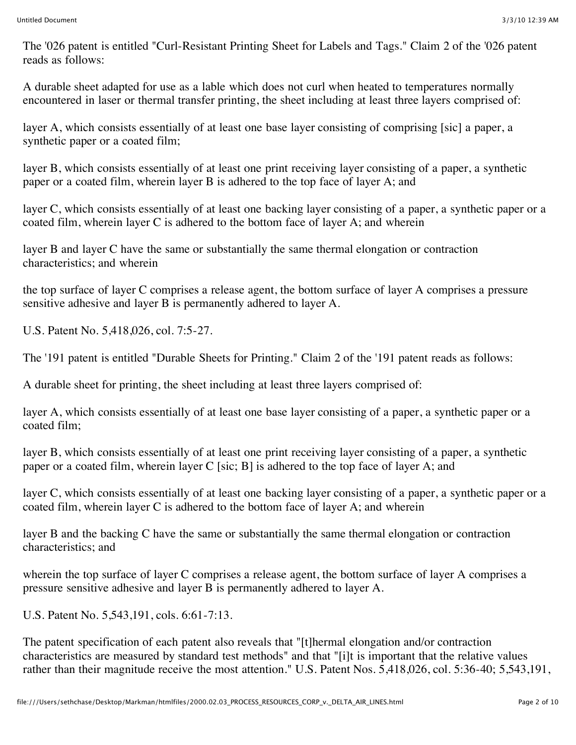The '026 patent is entitled "Curl-Resistant Printing Sheet for Labels and Tags." Claim 2 of the '026 patent reads as follows:

A durable sheet adapted for use as a lable which does not curl when heated to temperatures normally encountered in laser or thermal transfer printing, the sheet including at least three layers comprised of:

layer A, which consists essentially of at least one base layer consisting of comprising [sic] a paper, a synthetic paper or a coated film;

layer B, which consists essentially of at least one print receiving layer consisting of a paper, a synthetic paper or a coated film, wherein layer B is adhered to the top face of layer A; and

layer C, which consists essentially of at least one backing layer consisting of a paper, a synthetic paper or a coated film, wherein layer C is adhered to the bottom face of layer A; and wherein

layer B and layer C have the same or substantially the same thermal elongation or contraction characteristics; and wherein

the top surface of layer C comprises a release agent, the bottom surface of layer A comprises a pressure sensitive adhesive and layer B is permanently adhered to layer A.

U.S. Patent No. 5,418,026, col. 7:5-27.

The '191 patent is entitled "Durable Sheets for Printing." Claim 2 of the '191 patent reads as follows:

A durable sheet for printing, the sheet including at least three layers comprised of:

layer A, which consists essentially of at least one base layer consisting of a paper, a synthetic paper or a coated film;

layer B, which consists essentially of at least one print receiving layer consisting of a paper, a synthetic paper or a coated film, wherein layer C [sic; B] is adhered to the top face of layer A; and

layer C, which consists essentially of at least one backing layer consisting of a paper, a synthetic paper or a coated film, wherein layer C is adhered to the bottom face of layer A; and wherein

layer B and the backing C have the same or substantially the same thermal elongation or contraction characteristics; and

wherein the top surface of layer C comprises a release agent, the bottom surface of layer A comprises a pressure sensitive adhesive and layer B is permanently adhered to layer A.

U.S. Patent No. 5,543,191, cols. 6:61-7:13.

The patent specification of each patent also reveals that "[t]hermal elongation and/or contraction characteristics are measured by standard test methods" and that "[i]t is important that the relative values rather than their magnitude receive the most attention." U.S. Patent Nos. 5,418,026, col. 5:36-40; 5,543,191,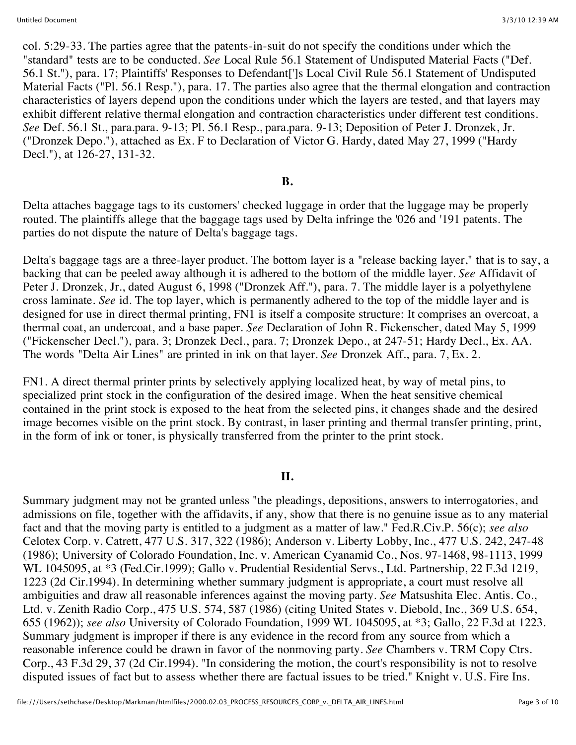col. 5:29-33. The parties agree that the patents-in-suit do not specify the conditions under which the "standard" tests are to be conducted. *See* Local Rule 56.1 Statement of Undisputed Material Facts ("Def. 56.1 St."), para. 17; Plaintiffs' Responses to Defendant[']s Local Civil Rule 56.1 Statement of Undisputed Material Facts ("Pl. 56.1 Resp."), para. 17. The parties also agree that the thermal elongation and contraction characteristics of layers depend upon the conditions under which the layers are tested, and that layers may exhibit different relative thermal elongation and contraction characteristics under different test conditions. *See* Def. 56.1 St., para.para. 9-13; Pl. 56.1 Resp., para.para. 9-13; Deposition of Peter J. Dronzek, Jr. ("Dronzek Depo."), attached as Ex. F to Declaration of Victor G. Hardy, dated May 27, 1999 ("Hardy Decl."), at 126-27, 131-32.

#### **B.**

Delta attaches baggage tags to its customers' checked luggage in order that the luggage may be properly routed. The plaintiffs allege that the baggage tags used by Delta infringe the '026 and '191 patents. The parties do not dispute the nature of Delta's baggage tags.

Delta's baggage tags are a three-layer product. The bottom layer is a "release backing layer," that is to say, a backing that can be peeled away although it is adhered to the bottom of the middle layer. *See* Affidavit of Peter J. Dronzek, Jr., dated August 6, 1998 ("Dronzek Aff."), para. 7. The middle layer is a polyethylene cross laminate. *See* id. The top layer, which is permanently adhered to the top of the middle layer and is designed for use in direct thermal printing, FN1 is itself a composite structure: It comprises an overcoat, a thermal coat, an undercoat, and a base paper. *See* Declaration of John R. Fickenscher, dated May 5, 1999 ("Fickenscher Decl."), para. 3; Dronzek Decl., para. 7; Dronzek Depo., at 247-51; Hardy Decl., Ex. AA. The words "Delta Air Lines" are printed in ink on that layer. *See* Dronzek Aff., para. 7, Ex. 2.

FN1. A direct thermal printer prints by selectively applying localized heat, by way of metal pins, to specialized print stock in the configuration of the desired image. When the heat sensitive chemical contained in the print stock is exposed to the heat from the selected pins, it changes shade and the desired image becomes visible on the print stock. By contrast, in laser printing and thermal transfer printing, print, in the form of ink or toner, is physically transferred from the printer to the print stock.

#### **II.**

Summary judgment may not be granted unless "the pleadings, depositions, answers to interrogatories, and admissions on file, together with the affidavits, if any, show that there is no genuine issue as to any material fact and that the moving party is entitled to a judgment as a matter of law." Fed.R.Civ.P. 56(c); *see also* Celotex Corp. v. Catrett, 477 U.S. 317, 322 (1986); Anderson v. Liberty Lobby, Inc., 477 U.S. 242, 247-48 (1986); University of Colorado Foundation, Inc. v. American Cyanamid Co., Nos. 97-1468, 98-1113, 1999 WL 1045095, at \*3 (Fed.Cir.1999); Gallo v. Prudential Residential Servs., Ltd. Partnership, 22 F.3d 1219, 1223 (2d Cir.1994). In determining whether summary judgment is appropriate, a court must resolve all ambiguities and draw all reasonable inferences against the moving party. *See* Matsushita Elec. Antis. Co., Ltd. v. Zenith Radio Corp., 475 U.S. 574, 587 (1986) (citing United States v. Diebold, Inc., 369 U.S. 654, 655 (1962)); *see also* University of Colorado Foundation, 1999 WL 1045095, at \*3; Gallo, 22 F.3d at 1223. Summary judgment is improper if there is any evidence in the record from any source from which a reasonable inference could be drawn in favor of the nonmoving party. *See* Chambers v. TRM Copy Ctrs. Corp., 43 F.3d 29, 37 (2d Cir.1994). "In considering the motion, the court's responsibility is not to resolve disputed issues of fact but to assess whether there are factual issues to be tried." Knight v. U.S. Fire Ins.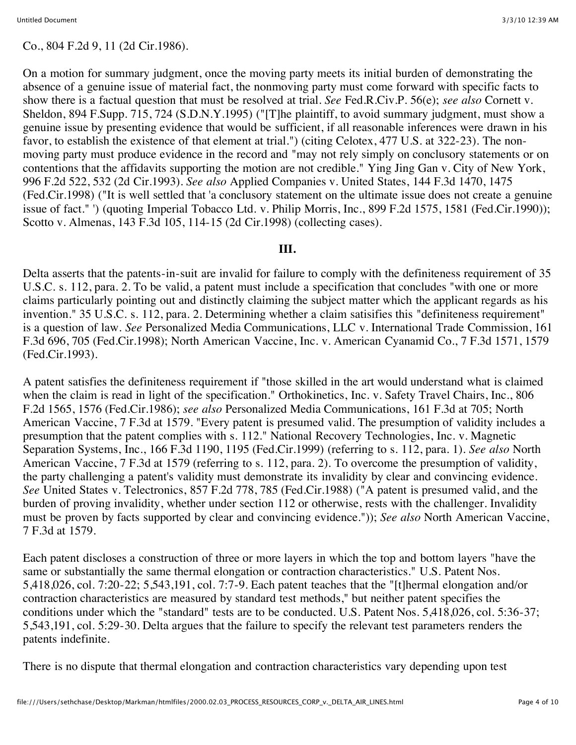### Co., 804 F.2d 9, 11 (2d Cir.1986).

On a motion for summary judgment, once the moving party meets its initial burden of demonstrating the absence of a genuine issue of material fact, the nonmoving party must come forward with specific facts to show there is a factual question that must be resolved at trial. *See* Fed.R.Civ.P. 56(e); *see also* Cornett v. Sheldon, 894 F.Supp. 715, 724 (S.D.N.Y.1995) ("[T]he plaintiff, to avoid summary judgment, must show a genuine issue by presenting evidence that would be sufficient, if all reasonable inferences were drawn in his favor, to establish the existence of that element at trial.") (citing Celotex, 477 U.S. at 322-23). The nonmoving party must produce evidence in the record and "may not rely simply on conclusory statements or on contentions that the affidavits supporting the motion are not credible." Ying Jing Gan v. City of New York, 996 F.2d 522, 532 (2d Cir.1993). *See also* Applied Companies v. United States, 144 F.3d 1470, 1475 (Fed.Cir.1998) ("It is well settled that 'a conclusory statement on the ultimate issue does not create a genuine issue of fact." ') (quoting Imperial Tobacco Ltd. v. Philip Morris, Inc., 899 F.2d 1575, 1581 (Fed.Cir.1990)); Scotto v. Almenas, 143 F.3d 105, 114-15 (2d Cir.1998) (collecting cases).

#### **III.**

Delta asserts that the patents-in-suit are invalid for failure to comply with the definiteness requirement of 35 U.S.C. s. 112, para. 2. To be valid, a patent must include a specification that concludes "with one or more claims particularly pointing out and distinctly claiming the subject matter which the applicant regards as his invention." 35 U.S.C. s. 112, para. 2. Determining whether a claim satisifies this "definiteness requirement" is a question of law. *See* Personalized Media Communications, LLC v. International Trade Commission, 161 F.3d 696, 705 (Fed.Cir.1998); North American Vaccine, Inc. v. American Cyanamid Co., 7 F.3d 1571, 1579 (Fed.Cir.1993).

A patent satisfies the definiteness requirement if "those skilled in the art would understand what is claimed when the claim is read in light of the specification." Orthokinetics, Inc. v. Safety Travel Chairs, Inc., 806 F.2d 1565, 1576 (Fed.Cir.1986); *see also* Personalized Media Communications, 161 F.3d at 705; North American Vaccine, 7 F.3d at 1579. "Every patent is presumed valid. The presumption of validity includes a presumption that the patent complies with s. 112." National Recovery Technologies, Inc. v. Magnetic Separation Systems, Inc., 166 F.3d 1190, 1195 (Fed.Cir.1999) (referring to s. 112, para. 1). *See also* North American Vaccine, 7 F.3d at 1579 (referring to s. 112, para. 2). To overcome the presumption of validity, the party challenging a patent's validity must demonstrate its invalidity by clear and convincing evidence. *See* United States v. Telectronics, 857 F.2d 778, 785 (Fed.Cir.1988) ("A patent is presumed valid, and the burden of proving invalidity, whether under section 112 or otherwise, rests with the challenger. Invalidity must be proven by facts supported by clear and convincing evidence.")); *See also* North American Vaccine, 7 F.3d at 1579.

Each patent discloses a construction of three or more layers in which the top and bottom layers "have the same or substantially the same thermal elongation or contraction characteristics." U.S. Patent Nos. 5,418,026, col. 7:20-22; 5,543,191, col. 7:7-9. Each patent teaches that the "[t]hermal elongation and/or contraction characteristics are measured by standard test methods," but neither patent specifies the conditions under which the "standard" tests are to be conducted. U.S. Patent Nos. 5,418,026, col. 5:36-37; 5,543,191, col. 5:29-30. Delta argues that the failure to specify the relevant test parameters renders the patents indefinite.

There is no dispute that thermal elongation and contraction characteristics vary depending upon test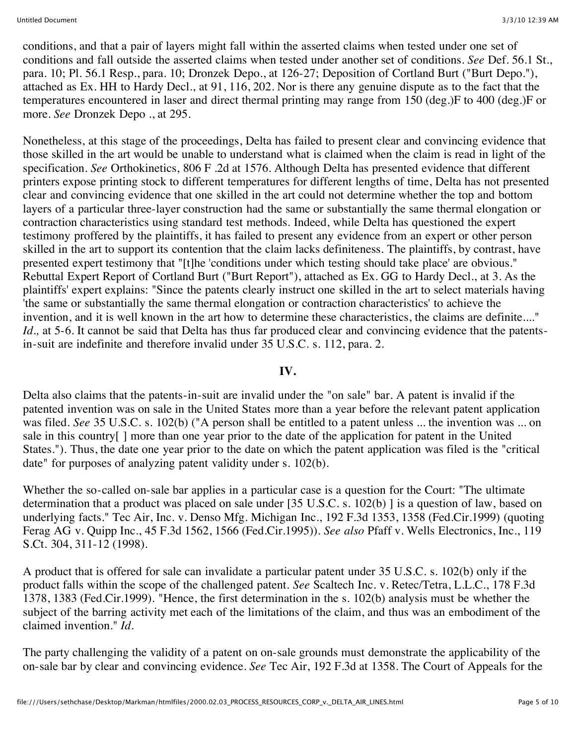conditions, and that a pair of layers might fall within the asserted claims when tested under one set of conditions and fall outside the asserted claims when tested under another set of conditions. *See* Def. 56.1 St., para. 10; Pl. 56.1 Resp., para. 10; Dronzek Depo., at 126-27; Deposition of Cortland Burt ("Burt Depo."), attached as Ex. HH to Hardy Decl., at 91, 116, 202. Nor is there any genuine dispute as to the fact that the temperatures encountered in laser and direct thermal printing may range from 150 (deg.)F to 400 (deg.)F or more. *See* Dronzek Depo ., at 295.

Nonetheless, at this stage of the proceedings, Delta has failed to present clear and convincing evidence that those skilled in the art would be unable to understand what is claimed when the claim is read in light of the specification. *See* Orthokinetics, 806 F .2d at 1576. Although Delta has presented evidence that different printers expose printing stock to different temperatures for different lengths of time, Delta has not presented clear and convincing evidence that one skilled in the art could not determine whether the top and bottom layers of a particular three-layer construction had the same or substantially the same thermal elongation or contraction characteristics using standard test methods. Indeed, while Delta has questioned the expert testimony proffered by the plaintiffs, it has failed to present any evidence from an expert or other person skilled in the art to support its contention that the claim lacks definiteness. The plaintiffs, by contrast, have presented expert testimony that "[t]he 'conditions under which testing should take place' are obvious." Rebuttal Expert Report of Cortland Burt ("Burt Report"), attached as Ex. GG to Hardy Decl., at 3. As the plaintiffs' expert explains: "Since the patents clearly instruct one skilled in the art to select materials having 'the same or substantially the same thermal elongation or contraction characteristics' to achieve the invention, and it is well known in the art how to determine these characteristics, the claims are definite...." *Id.*, at 5-6. It cannot be said that Delta has thus far produced clear and convincing evidence that the patentsin-suit are indefinite and therefore invalid under 35 U.S.C. s. 112, para. 2.

#### **IV.**

Delta also claims that the patents-in-suit are invalid under the "on sale" bar. A patent is invalid if the patented invention was on sale in the United States more than a year before the relevant patent application was filed. *See* 35 U.S.C. s. 102(b) ("A person shall be entitled to a patent unless ... the invention was ... on sale in this country[ ] more than one year prior to the date of the application for patent in the United States."). Thus, the date one year prior to the date on which the patent application was filed is the "critical date" for purposes of analyzing patent validity under s. 102(b).

Whether the so-called on-sale bar applies in a particular case is a question for the Court: "The ultimate determination that a product was placed on sale under [35 U.S.C. s. 102(b) ] is a question of law, based on underlying facts." Tec Air, Inc. v. Denso Mfg. Michigan Inc., 192 F.3d 1353, 1358 (Fed.Cir.1999) (quoting Ferag AG v. Quipp Inc., 45 F.3d 1562, 1566 (Fed.Cir.1995)). *See also* Pfaff v. Wells Electronics, Inc., 119 S.Ct. 304, 311-12 (1998).

A product that is offered for sale can invalidate a particular patent under 35 U.S.C. s. 102(b) only if the product falls within the scope of the challenged patent. *See* Scaltech Inc. v. Retec/Tetra, L.L.C., 178 F.3d 1378, 1383 (Fed.Cir.1999). "Hence, the first determination in the s. 102(b) analysis must be whether the subject of the barring activity met each of the limitations of the claim, and thus was an embodiment of the claimed invention." *Id.*

The party challenging the validity of a patent on on-sale grounds must demonstrate the applicability of the on-sale bar by clear and convincing evidence. *See* Tec Air, 192 F.3d at 1358. The Court of Appeals for the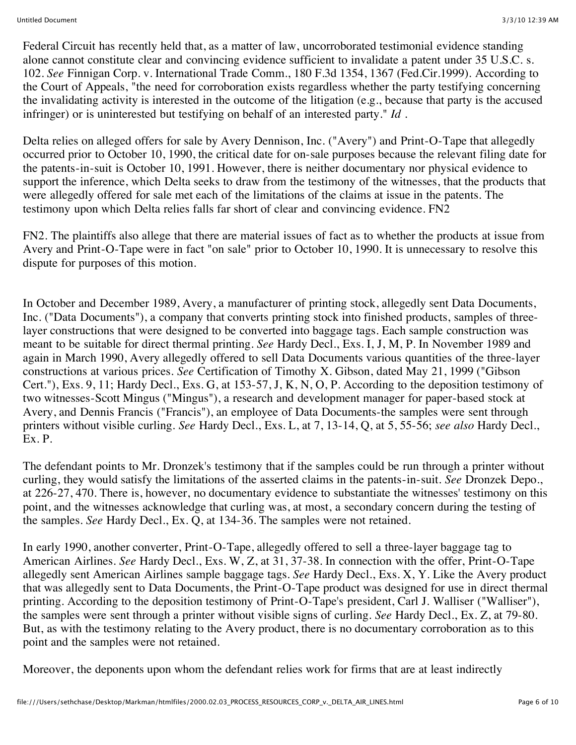Federal Circuit has recently held that, as a matter of law, uncorroborated testimonial evidence standing alone cannot constitute clear and convincing evidence sufficient to invalidate a patent under 35 U.S.C. s. 102. *See* Finnigan Corp. v. International Trade Comm., 180 F.3d 1354, 1367 (Fed.Cir.1999). According to the Court of Appeals, "the need for corroboration exists regardless whether the party testifying concerning the invalidating activity is interested in the outcome of the litigation (e.g., because that party is the accused infringer) or is uninterested but testifying on behalf of an interested party." *Id .*

Delta relies on alleged offers for sale by Avery Dennison, Inc. ("Avery") and Print-O-Tape that allegedly occurred prior to October 10, 1990, the critical date for on-sale purposes because the relevant filing date for the patents-in-suit is October 10, 1991. However, there is neither documentary nor physical evidence to support the inference, which Delta seeks to draw from the testimony of the witnesses, that the products that were allegedly offered for sale met each of the limitations of the claims at issue in the patents. The testimony upon which Delta relies falls far short of clear and convincing evidence. FN2

FN2. The plaintiffs also allege that there are material issues of fact as to whether the products at issue from Avery and Print-O-Tape were in fact "on sale" prior to October 10, 1990. It is unnecessary to resolve this dispute for purposes of this motion.

In October and December 1989, Avery, a manufacturer of printing stock, allegedly sent Data Documents, Inc. ("Data Documents"), a company that converts printing stock into finished products, samples of threelayer constructions that were designed to be converted into baggage tags. Each sample construction was meant to be suitable for direct thermal printing. *See* Hardy Decl., Exs. I, J, M, P. In November 1989 and again in March 1990, Avery allegedly offered to sell Data Documents various quantities of the three-layer constructions at various prices. *See* Certification of Timothy X. Gibson, dated May 21, 1999 ("Gibson Cert."), Exs. 9, 11; Hardy Decl., Exs. G, at 153-57, J, K, N, O, P. According to the deposition testimony of two witnesses-Scott Mingus ("Mingus"), a research and development manager for paper-based stock at Avery, and Dennis Francis ("Francis"), an employee of Data Documents-the samples were sent through printers without visible curling. *See* Hardy Decl., Exs. L, at 7, 13-14, Q, at 5, 55-56; *see also* Hardy Decl., Ex. P.

The defendant points to Mr. Dronzek's testimony that if the samples could be run through a printer without curling, they would satisfy the limitations of the asserted claims in the patents-in-suit. *See* Dronzek Depo., at 226-27, 470. There is, however, no documentary evidence to substantiate the witnesses' testimony on this point, and the witnesses acknowledge that curling was, at most, a secondary concern during the testing of the samples. *See* Hardy Decl., Ex. Q, at 134-36. The samples were not retained.

In early 1990, another converter, Print-O-Tape, allegedly offered to sell a three-layer baggage tag to American Airlines. *See* Hardy Decl., Exs. W, Z, at 31, 37-38. In connection with the offer, Print-O-Tape allegedly sent American Airlines sample baggage tags. *See* Hardy Decl., Exs. X, Y. Like the Avery product that was allegedly sent to Data Documents, the Print-O-Tape product was designed for use in direct thermal printing. According to the deposition testimony of Print-O-Tape's president, Carl J. Walliser ("Walliser"), the samples were sent through a printer without visible signs of curling. *See* Hardy Decl., Ex. Z, at 79-80. But, as with the testimony relating to the Avery product, there is no documentary corroboration as to this point and the samples were not retained.

Moreover, the deponents upon whom the defendant relies work for firms that are at least indirectly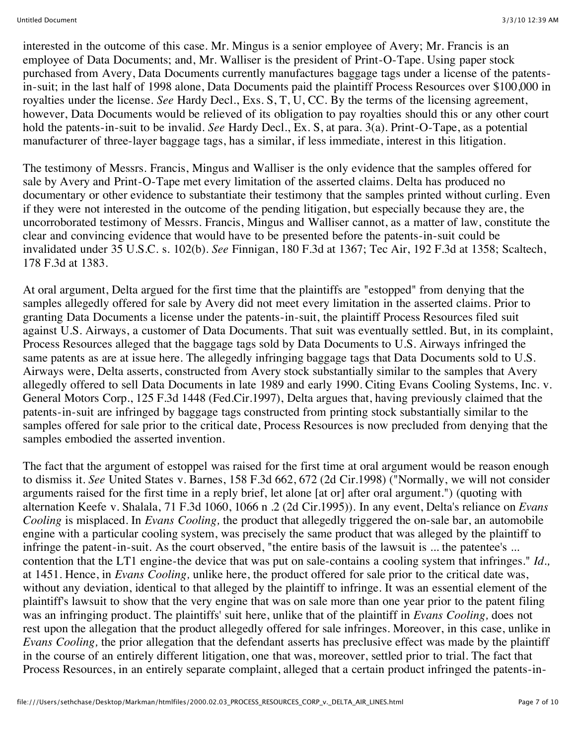interested in the outcome of this case. Mr. Mingus is a senior employee of Avery; Mr. Francis is an employee of Data Documents; and, Mr. Walliser is the president of Print-O-Tape. Using paper stock purchased from Avery, Data Documents currently manufactures baggage tags under a license of the patentsin-suit; in the last half of 1998 alone, Data Documents paid the plaintiff Process Resources over \$100,000 in royalties under the license. *See* Hardy Decl., Exs. S, T, U, CC. By the terms of the licensing agreement, however, Data Documents would be relieved of its obligation to pay royalties should this or any other court hold the patents-in-suit to be invalid. *See* Hardy Decl., Ex. S, at para. 3(a). Print-O-Tape, as a potential manufacturer of three-layer baggage tags, has a similar, if less immediate, interest in this litigation.

The testimony of Messrs. Francis, Mingus and Walliser is the only evidence that the samples offered for sale by Avery and Print-O-Tape met every limitation of the asserted claims. Delta has produced no documentary or other evidence to substantiate their testimony that the samples printed without curling. Even if they were not interested in the outcome of the pending litigation, but especially because they are, the uncorroborated testimony of Messrs. Francis, Mingus and Walliser cannot, as a matter of law, constitute the clear and convincing evidence that would have to be presented before the patents-in-suit could be invalidated under 35 U.S.C. s. 102(b). *See* Finnigan, 180 F.3d at 1367; Tec Air, 192 F.3d at 1358; Scaltech, 178 F.3d at 1383.

At oral argument, Delta argued for the first time that the plaintiffs are "estopped" from denying that the samples allegedly offered for sale by Avery did not meet every limitation in the asserted claims. Prior to granting Data Documents a license under the patents-in-suit, the plaintiff Process Resources filed suit against U.S. Airways, a customer of Data Documents. That suit was eventually settled. But, in its complaint, Process Resources alleged that the baggage tags sold by Data Documents to U.S. Airways infringed the same patents as are at issue here. The allegedly infringing baggage tags that Data Documents sold to U.S. Airways were, Delta asserts, constructed from Avery stock substantially similar to the samples that Avery allegedly offered to sell Data Documents in late 1989 and early 1990. Citing Evans Cooling Systems, Inc. v. General Motors Corp., 125 F.3d 1448 (Fed.Cir.1997), Delta argues that, having previously claimed that the patents-in-suit are infringed by baggage tags constructed from printing stock substantially similar to the samples offered for sale prior to the critical date, Process Resources is now precluded from denying that the samples embodied the asserted invention.

The fact that the argument of estoppel was raised for the first time at oral argument would be reason enough to dismiss it. *See* United States v. Barnes, 158 F.3d 662, 672 (2d Cir.1998) ("Normally, we will not consider arguments raised for the first time in a reply brief, let alone [at or] after oral argument.") (quoting with alternation Keefe v. Shalala, 71 F.3d 1060, 1066 n .2 (2d Cir.1995)). In any event, Delta's reliance on *Evans Cooling* is misplaced. In *Evans Cooling,* the product that allegedly triggered the on-sale bar, an automobile engine with a particular cooling system, was precisely the same product that was alleged by the plaintiff to infringe the patent-in-suit. As the court observed, "the entire basis of the lawsuit is ... the patentee's ... contention that the LT1 engine-the device that was put on sale-contains a cooling system that infringes." *Id.,* at 1451. Hence, in *Evans Cooling,* unlike here, the product offered for sale prior to the critical date was, without any deviation, identical to that alleged by the plaintiff to infringe. It was an essential element of the plaintiff's lawsuit to show that the very engine that was on sale more than one year prior to the patent filing was an infringing product. The plaintiffs' suit here, unlike that of the plaintiff in *Evans Cooling,* does not rest upon the allegation that the product allegedly offered for sale infringes. Moreover, in this case, unlike in *Evans Cooling,* the prior allegation that the defendant asserts has preclusive effect was made by the plaintiff in the course of an entirely different litigation, one that was, moreover, settled prior to trial. The fact that Process Resources, in an entirely separate complaint, alleged that a certain product infringed the patents-in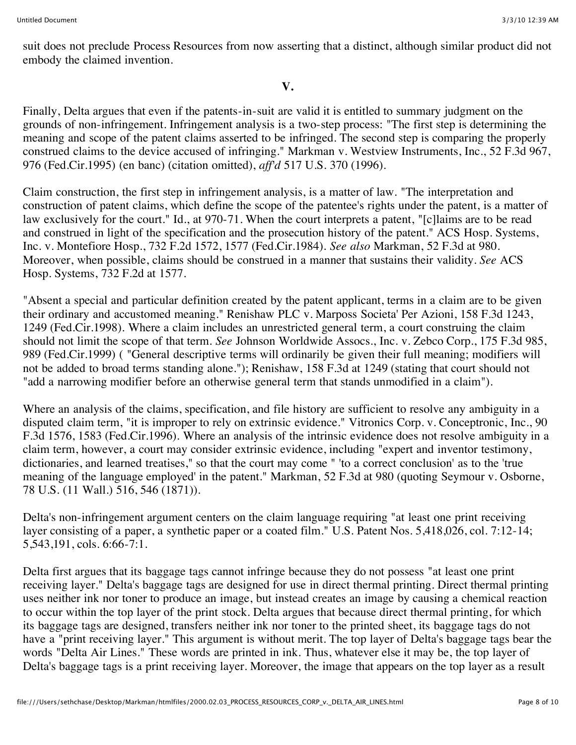suit does not preclude Process Resources from now asserting that a distinct, although similar product did not embody the claimed invention.

### **V.**

Finally, Delta argues that even if the patents-in-suit are valid it is entitled to summary judgment on the grounds of non-infringement. Infringement analysis is a two-step process: "The first step is determining the meaning and scope of the patent claims asserted to be infringed. The second step is comparing the properly construed claims to the device accused of infringing." Markman v. Westview Instruments, Inc., 52 F.3d 967, 976 (Fed.Cir.1995) (en banc) (citation omitted), *aff'd* 517 U.S. 370 (1996).

Claim construction, the first step in infringement analysis, is a matter of law. "The interpretation and construction of patent claims, which define the scope of the patentee's rights under the patent, is a matter of law exclusively for the court." Id., at 970-71. When the court interprets a patent, "[c]laims are to be read and construed in light of the specification and the prosecution history of the patent." ACS Hosp. Systems, Inc. v. Montefiore Hosp., 732 F.2d 1572, 1577 (Fed.Cir.1984). *See also* Markman, 52 F.3d at 980. Moreover, when possible, claims should be construed in a manner that sustains their validity. *See* ACS Hosp. Systems, 732 F.2d at 1577.

"Absent a special and particular definition created by the patent applicant, terms in a claim are to be given their ordinary and accustomed meaning." Renishaw PLC v. Marposs Societa' Per Azioni, 158 F.3d 1243, 1249 (Fed.Cir.1998). Where a claim includes an unrestricted general term, a court construing the claim should not limit the scope of that term. *See* Johnson Worldwide Assocs., Inc. v. Zebco Corp., 175 F.3d 985, 989 (Fed.Cir.1999) ( "General descriptive terms will ordinarily be given their full meaning; modifiers will not be added to broad terms standing alone."); Renishaw, 158 F.3d at 1249 (stating that court should not "add a narrowing modifier before an otherwise general term that stands unmodified in a claim").

Where an analysis of the claims, specification, and file history are sufficient to resolve any ambiguity in a disputed claim term, "it is improper to rely on extrinsic evidence." Vitronics Corp. v. Conceptronic, Inc., 90 F.3d 1576, 1583 (Fed.Cir.1996). Where an analysis of the intrinsic evidence does not resolve ambiguity in a claim term, however, a court may consider extrinsic evidence, including "expert and inventor testimony, dictionaries, and learned treatises," so that the court may come " 'to a correct conclusion' as to the 'true meaning of the language employed' in the patent." Markman, 52 F.3d at 980 (quoting Seymour v. Osborne, 78 U.S. (11 Wall.) 516, 546 (1871)).

Delta's non-infringement argument centers on the claim language requiring "at least one print receiving layer consisting of a paper, a synthetic paper or a coated film." U.S. Patent Nos. 5,418,026, col. 7:12-14; 5,543,191, cols. 6:66-7:1.

Delta first argues that its baggage tags cannot infringe because they do not possess "at least one print receiving layer." Delta's baggage tags are designed for use in direct thermal printing. Direct thermal printing uses neither ink nor toner to produce an image, but instead creates an image by causing a chemical reaction to occur within the top layer of the print stock. Delta argues that because direct thermal printing, for which its baggage tags are designed, transfers neither ink nor toner to the printed sheet, its baggage tags do not have a "print receiving layer." This argument is without merit. The top layer of Delta's baggage tags bear the words "Delta Air Lines." These words are printed in ink. Thus, whatever else it may be, the top layer of Delta's baggage tags is a print receiving layer. Moreover, the image that appears on the top layer as a result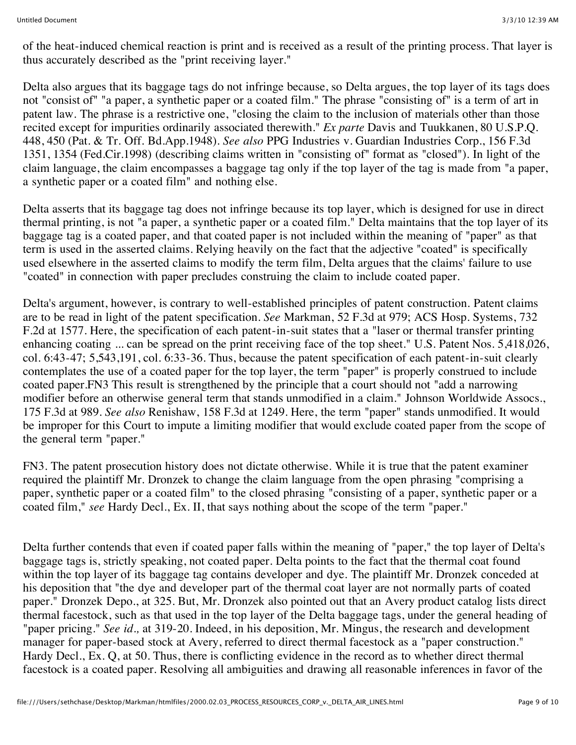of the heat-induced chemical reaction is print and is received as a result of the printing process. That layer is thus accurately described as the "print receiving layer."

Delta also argues that its baggage tags do not infringe because, so Delta argues, the top layer of its tags does not "consist of" "a paper, a synthetic paper or a coated film." The phrase "consisting of" is a term of art in patent law. The phrase is a restrictive one, "closing the claim to the inclusion of materials other than those recited except for impurities ordinarily associated therewith." *Ex parte* Davis and Tuukkanen, 80 U.S.P.Q. 448, 450 (Pat. & Tr. Off. Bd.App.1948). *See also* PPG Industries v. Guardian Industries Corp., 156 F.3d 1351, 1354 (Fed.Cir.1998) (describing claims written in "consisting of" format as "closed"). In light of the claim language, the claim encompasses a baggage tag only if the top layer of the tag is made from "a paper, a synthetic paper or a coated film" and nothing else.

Delta asserts that its baggage tag does not infringe because its top layer, which is designed for use in direct thermal printing, is not "a paper, a synthetic paper or a coated film." Delta maintains that the top layer of its baggage tag is a coated paper, and that coated paper is not included within the meaning of "paper" as that term is used in the asserted claims. Relying heavily on the fact that the adjective "coated" is specifically used elsewhere in the asserted claims to modify the term film, Delta argues that the claims' failure to use "coated" in connection with paper precludes construing the claim to include coated paper.

Delta's argument, however, is contrary to well-established principles of patent construction. Patent claims are to be read in light of the patent specification. *See* Markman, 52 F.3d at 979; ACS Hosp. Systems, 732 F.2d at 1577. Here, the specification of each patent-in-suit states that a "laser or thermal transfer printing enhancing coating ... can be spread on the print receiving face of the top sheet." U.S. Patent Nos. 5,418,026, col. 6:43-47; 5,543,191, col. 6:33-36. Thus, because the patent specification of each patent-in-suit clearly contemplates the use of a coated paper for the top layer, the term "paper" is properly construed to include coated paper.FN3 This result is strengthened by the principle that a court should not "add a narrowing modifier before an otherwise general term that stands unmodified in a claim." Johnson Worldwide Assocs., 175 F.3d at 989. *See also* Renishaw, 158 F.3d at 1249. Here, the term "paper" stands unmodified. It would be improper for this Court to impute a limiting modifier that would exclude coated paper from the scope of the general term "paper."

FN3. The patent prosecution history does not dictate otherwise. While it is true that the patent examiner required the plaintiff Mr. Dronzek to change the claim language from the open phrasing "comprising a paper, synthetic paper or a coated film" to the closed phrasing "consisting of a paper, synthetic paper or a coated film," *see* Hardy Decl., Ex. II, that says nothing about the scope of the term "paper."

Delta further contends that even if coated paper falls within the meaning of "paper," the top layer of Delta's baggage tags is, strictly speaking, not coated paper. Delta points to the fact that the thermal coat found within the top layer of its baggage tag contains developer and dye. The plaintiff Mr. Dronzek conceded at his deposition that "the dye and developer part of the thermal coat layer are not normally parts of coated paper." Dronzek Depo., at 325. But, Mr. Dronzek also pointed out that an Avery product catalog lists direct thermal facestock, such as that used in the top layer of the Delta baggage tags, under the general heading of "paper pricing." *See id.,* at 319-20. Indeed, in his deposition, Mr. Mingus, the research and development manager for paper-based stock at Avery, referred to direct thermal facestock as a "paper construction." Hardy Decl., Ex. Q, at 50. Thus, there is conflicting evidence in the record as to whether direct thermal facestock is a coated paper. Resolving all ambiguities and drawing all reasonable inferences in favor of the